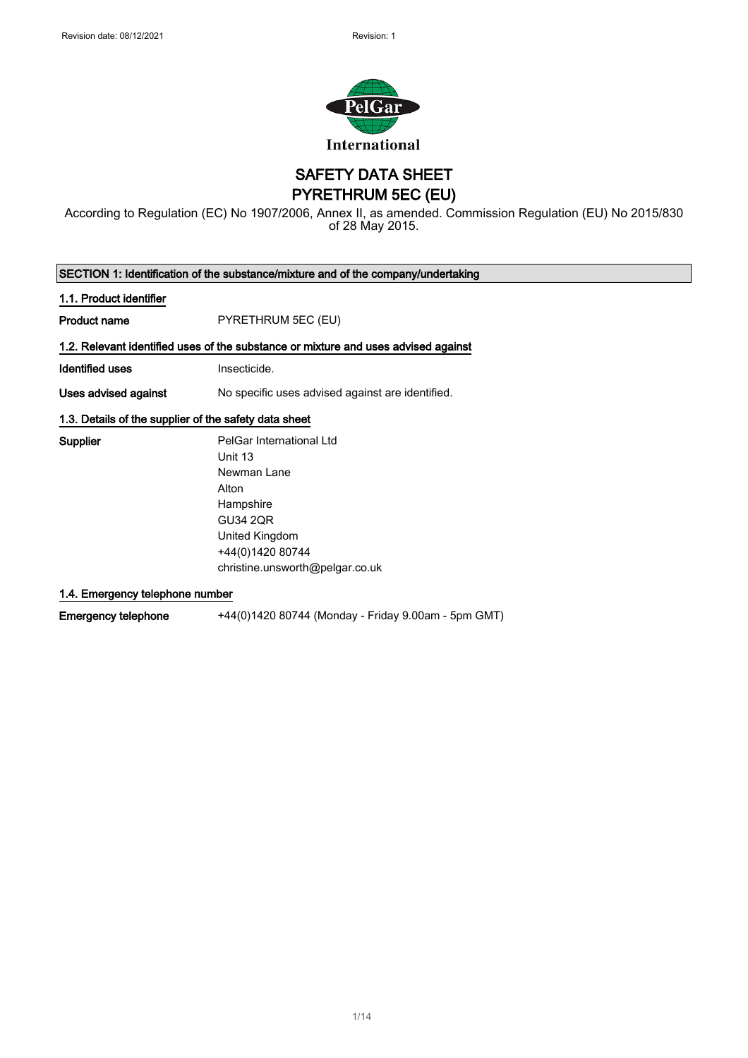

SAFETY DATA SHEET

PYRETHRUM 5EC (EU)

According to Regulation (EC) No 1907/2006, Annex II, as amended. Commission Regulation (EU) No 2015/830 of 28 May 2015.

 $\blacksquare$ 

| SECTION 1: Identification of the substance/mixture and of the company/undertaking |                                                                                    |
|-----------------------------------------------------------------------------------|------------------------------------------------------------------------------------|
| 1.1. Product identifier                                                           |                                                                                    |
| Product name                                                                      | PYRETHRUM 5EC (EU)                                                                 |
|                                                                                   | 1.2. Relevant identified uses of the substance or mixture and uses advised against |
| Identified uses                                                                   | Insecticide.                                                                       |
| Uses advised against                                                              | No specific uses advised against are identified.                                   |
| 1.3. Details of the supplier of the safety data sheet                             |                                                                                    |
| <b>Supplier</b>                                                                   | PelGar International Ltd                                                           |
|                                                                                   | Unit 13                                                                            |
|                                                                                   | Newman Lane                                                                        |
|                                                                                   | Alton                                                                              |
|                                                                                   | Hampshire                                                                          |

GU34 2QR United Kingdom +44(0)1420 80744 christine.unsworth@pelgar.co.uk

1.4. Emergency telephone number

Emergency telephone +44(0)1420 80744 (Monday - Friday 9.00am - 5pm GMT)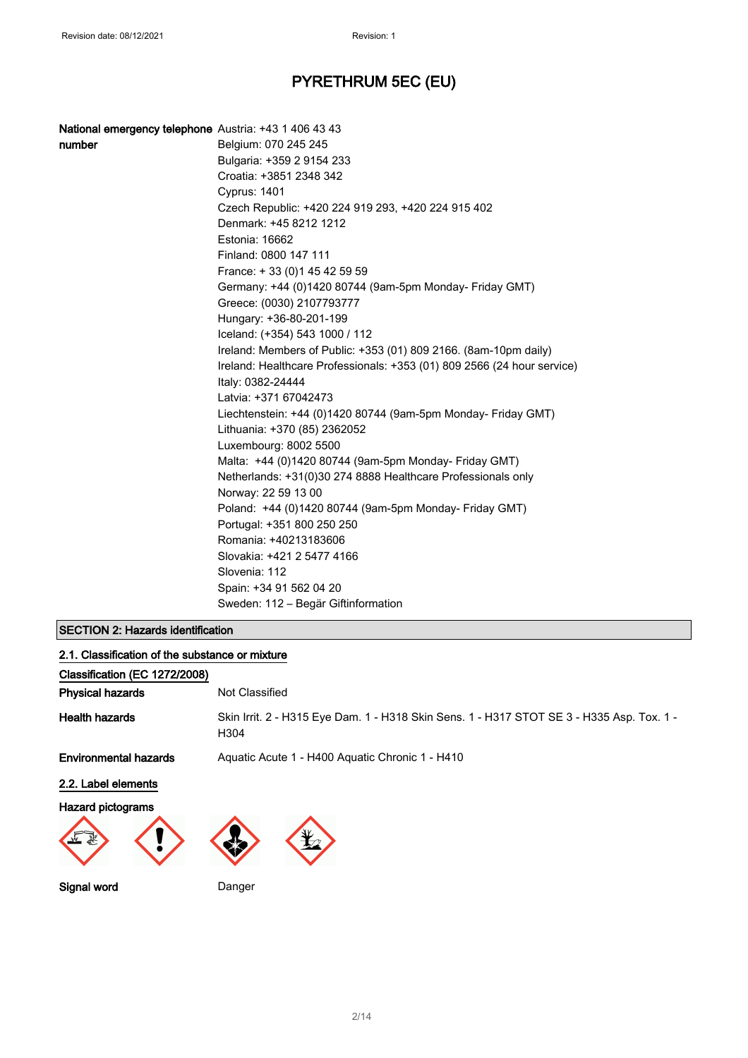| National emergency telephone Austria: +43 1 406 43 43 |                                                                         |
|-------------------------------------------------------|-------------------------------------------------------------------------|
| number                                                | Belgium: 070 245 245                                                    |
|                                                       | Bulgaria: +359 2 9154 233                                               |
|                                                       | Croatia: +3851 2348 342                                                 |
|                                                       | <b>Cyprus: 1401</b>                                                     |
|                                                       | Czech Republic: +420 224 919 293, +420 224 915 402                      |
|                                                       | Denmark: +45 8212 1212                                                  |
|                                                       | Estonia: 16662                                                          |
|                                                       | Finland: 0800 147 111                                                   |
|                                                       | France: +33 (0) 145 42 59 59                                            |
|                                                       | Germany: +44 (0)1420 80744 (9am-5pm Monday- Friday GMT)                 |
|                                                       | Greece: (0030) 2107793777                                               |
|                                                       | Hungary: +36-80-201-199                                                 |
|                                                       | Iceland: (+354) 543 1000 / 112                                          |
|                                                       | Ireland: Members of Public: +353 (01) 809 2166. (8am-10pm daily)        |
|                                                       | Ireland: Healthcare Professionals: +353 (01) 809 2566 (24 hour service) |
|                                                       | Italy: 0382-24444                                                       |
|                                                       | Latvia: +371 67042473                                                   |
|                                                       | Liechtenstein: +44 (0)1420 80744 (9am-5pm Monday- Friday GMT)           |
|                                                       | Lithuania: +370 (85) 2362052                                            |
|                                                       | Luxembourg: 8002 5500                                                   |
|                                                       | Malta: +44 (0)1420 80744 (9am-5pm Monday- Friday GMT)                   |
|                                                       | Netherlands: +31(0)30 274 8888 Healthcare Professionals only            |
|                                                       | Norway: 22 59 13 00                                                     |
|                                                       | Poland: +44 (0)1420 80744 (9am-5pm Monday- Friday GMT)                  |
|                                                       | Portugal: +351 800 250 250                                              |
|                                                       | Romania: +40213183606                                                   |
|                                                       | Slovakia: +421 2 5477 4166                                              |
|                                                       | Slovenia: 112                                                           |
|                                                       | Spain: +34 91 562 04 20                                                 |
|                                                       | Sweden: 112 – Begär Giftinformation                                     |

## SECTION 2: Hazards identification

| 2.1. Classification of the substance or mixture                                                                                                                                                                                                                                                                                                                                                         |                                                                                                   |
|---------------------------------------------------------------------------------------------------------------------------------------------------------------------------------------------------------------------------------------------------------------------------------------------------------------------------------------------------------------------------------------------------------|---------------------------------------------------------------------------------------------------|
| Classification (EC 1272/2008)                                                                                                                                                                                                                                                                                                                                                                           |                                                                                                   |
| <b>Physical hazards</b>                                                                                                                                                                                                                                                                                                                                                                                 | Not Classified                                                                                    |
| <b>Health hazards</b>                                                                                                                                                                                                                                                                                                                                                                                   | Skin Irrit. 2 - H315 Eye Dam. 1 - H318 Skin Sens. 1 - H317 STOT SE 3 - H335 Asp. Tox. 1 -<br>H304 |
| <b>Environmental hazards</b>                                                                                                                                                                                                                                                                                                                                                                            | Aquatic Acute 1 - H400 Aquatic Chronic 1 - H410                                                   |
| 2.2. Label elements                                                                                                                                                                                                                                                                                                                                                                                     |                                                                                                   |
| Hazard pictograms<br>$\begin{picture}(22,20) \put(0,0){\vector(1,0){10}} \put(15,0){\vector(1,0){10}} \put(15,0){\vector(1,0){10}} \put(15,0){\vector(1,0){10}} \put(15,0){\vector(1,0){10}} \put(15,0){\vector(1,0){10}} \put(15,0){\vector(1,0){10}} \put(15,0){\vector(1,0){10}} \put(15,0){\vector(1,0){10}} \put(15,0){\vector(1,0){10}} \put(15,0){\vector(1,0){10}} \put(15,0){\vector(1$<br>vv. |                                                                                                   |
| Signal word                                                                                                                                                                                                                                                                                                                                                                                             | Danger                                                                                            |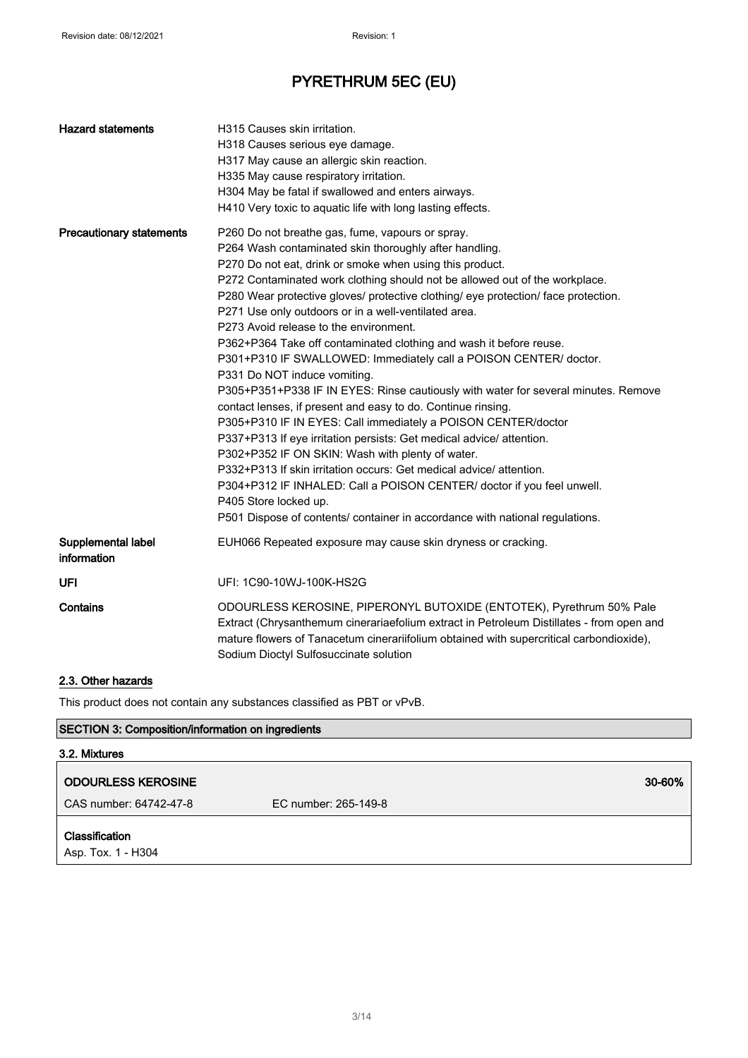| <b>Hazard statements</b>          | H315 Causes skin irritation.<br>H318 Causes serious eye damage.<br>H317 May cause an allergic skin reaction.<br>H335 May cause respiratory irritation.<br>H304 May be fatal if swallowed and enters airways.<br>H410 Very toxic to aquatic life with long lasting effects.                                                                                                                                                                                                                                                                                                                                                                                                                                                                                                                                                                                                                                                                                                                                                                                                                                                                                                                                                           |
|-----------------------------------|--------------------------------------------------------------------------------------------------------------------------------------------------------------------------------------------------------------------------------------------------------------------------------------------------------------------------------------------------------------------------------------------------------------------------------------------------------------------------------------------------------------------------------------------------------------------------------------------------------------------------------------------------------------------------------------------------------------------------------------------------------------------------------------------------------------------------------------------------------------------------------------------------------------------------------------------------------------------------------------------------------------------------------------------------------------------------------------------------------------------------------------------------------------------------------------------------------------------------------------|
| <b>Precautionary statements</b>   | P260 Do not breathe gas, fume, vapours or spray.<br>P264 Wash contaminated skin thoroughly after handling.<br>P270 Do not eat, drink or smoke when using this product.<br>P272 Contaminated work clothing should not be allowed out of the workplace.<br>P280 Wear protective gloves/ protective clothing/ eye protection/ face protection.<br>P271 Use only outdoors or in a well-ventilated area.<br>P273 Avoid release to the environment.<br>P362+P364 Take off contaminated clothing and wash it before reuse.<br>P301+P310 IF SWALLOWED: Immediately call a POISON CENTER/ doctor.<br>P331 Do NOT induce vomiting.<br>P305+P351+P338 IF IN EYES: Rinse cautiously with water for several minutes. Remove<br>contact lenses, if present and easy to do. Continue rinsing.<br>P305+P310 IF IN EYES: Call immediately a POISON CENTER/doctor<br>P337+P313 If eye irritation persists: Get medical advice/ attention.<br>P302+P352 IF ON SKIN: Wash with plenty of water.<br>P332+P313 If skin irritation occurs: Get medical advice/attention.<br>P304+P312 IF INHALED: Call a POISON CENTER/ doctor if you feel unwell.<br>P405 Store locked up.<br>P501 Dispose of contents/ container in accordance with national regulations. |
| Supplemental label<br>information | EUH066 Repeated exposure may cause skin dryness or cracking.                                                                                                                                                                                                                                                                                                                                                                                                                                                                                                                                                                                                                                                                                                                                                                                                                                                                                                                                                                                                                                                                                                                                                                         |
| <b>UFI</b>                        | UFI: 1C90-10WJ-100K-HS2G                                                                                                                                                                                                                                                                                                                                                                                                                                                                                                                                                                                                                                                                                                                                                                                                                                                                                                                                                                                                                                                                                                                                                                                                             |
| Contains                          | ODOURLESS KEROSINE, PIPERONYL BUTOXIDE (ENTOTEK), Pyrethrum 50% Pale<br>Extract (Chrysanthemum cinerariaefolium extract in Petroleum Distillates - from open and<br>mature flowers of Tanacetum cinerariifolium obtained with supercritical carbondioxide),<br>Sodium Dioctyl Sulfosuccinate solution                                                                                                                                                                                                                                                                                                                                                                                                                                                                                                                                                                                                                                                                                                                                                                                                                                                                                                                                |

## 2.3. Other hazards

This product does not contain any substances classified as PBT or vPvB.

# SECTION 3: Composition/information on ingredients

| 3.2. Mixtures                               |                      |  |
|---------------------------------------------|----------------------|--|
| <b>ODOURLESS KEROSINE</b>                   | 30-60%               |  |
| CAS number: 64742-47-8                      | EC number: 265-149-8 |  |
| <b>Classification</b><br>Asp. Tox. 1 - H304 |                      |  |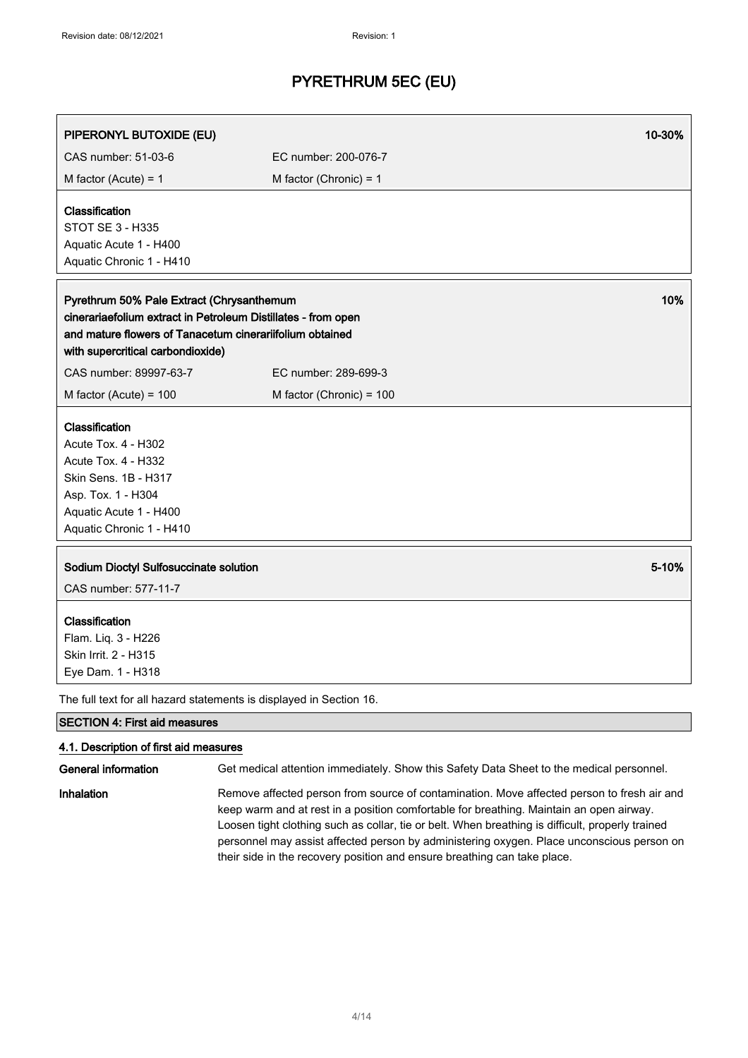| PIPERONYL BUTOXIDE (EU)                                                                                                                                                                                     |                                                                                          | 10-30% |
|-------------------------------------------------------------------------------------------------------------------------------------------------------------------------------------------------------------|------------------------------------------------------------------------------------------|--------|
| CAS number: 51-03-6                                                                                                                                                                                         | EC number: 200-076-7                                                                     |        |
| M factor (Acute) = $1$                                                                                                                                                                                      | M factor (Chronic) = $1$                                                                 |        |
| <b>Classification</b><br><b>STOT SE 3 - H335</b><br>Aquatic Acute 1 - H400<br>Aquatic Chronic 1 - H410                                                                                                      |                                                                                          |        |
| Pyrethrum 50% Pale Extract (Chrysanthemum<br>cinerariaefolium extract in Petroleum Distillates - from open<br>and mature flowers of Tanacetum cinerariifolium obtained<br>with supercritical carbondioxide) |                                                                                          | 10%    |
| CAS number: 89997-63-7                                                                                                                                                                                      | EC number: 289-699-3                                                                     |        |
| M factor (Acute) = $100$                                                                                                                                                                                    | M factor (Chronic) = 100                                                                 |        |
| Classification<br>Acute Tox. 4 - H302<br>Acute Tox. 4 - H332<br>Skin Sens. 1B - H317<br>Asp. Tox. 1 - H304<br>Aquatic Acute 1 - H400<br>Aquatic Chronic 1 - H410                                            |                                                                                          |        |
| Sodium Dioctyl Sulfosuccinate solution<br>CAS number: 577-11-7                                                                                                                                              |                                                                                          | 5-10%  |
| Classification<br>Flam. Liq. 3 - H226<br>Skin Irrit. 2 - H315<br>Eye Dam. 1 - H318                                                                                                                          |                                                                                          |        |
|                                                                                                                                                                                                             | The full text for all hazard statements is displayed in Section 16.                      |        |
| <b>SECTION 4: First aid measures</b>                                                                                                                                                                        |                                                                                          |        |
| 4.1. Description of first aid measures<br>General information                                                                                                                                               | Get medical attention immediately. Show this Safety Data Sheet to the medical personnel. |        |

Inhalation Remove affected person from source of contamination. Move affected person to fresh air and keep warm and at rest in a position comfortable for breathing. Maintain an open airway. Loosen tight clothing such as collar, tie or belt. When breathing is difficult, properly trained personnel may assist affected person by administering oxygen. Place unconscious person on their side in the recovery position and ensure breathing can take place.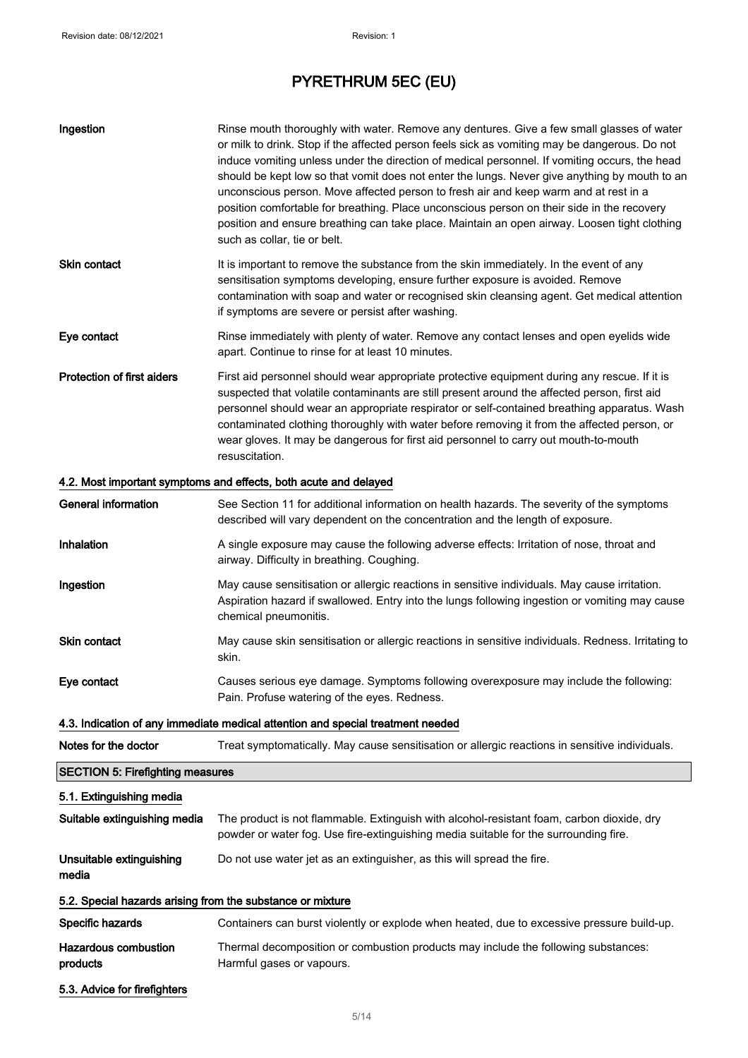| Ingestion                                                                       | Rinse mouth thoroughly with water. Remove any dentures. Give a few small glasses of water                                                                                                                                                                                                                                                                                                                                                                                                                                                                                                                             |
|---------------------------------------------------------------------------------|-----------------------------------------------------------------------------------------------------------------------------------------------------------------------------------------------------------------------------------------------------------------------------------------------------------------------------------------------------------------------------------------------------------------------------------------------------------------------------------------------------------------------------------------------------------------------------------------------------------------------|
|                                                                                 | or milk to drink. Stop if the affected person feels sick as vomiting may be dangerous. Do not<br>induce vomiting unless under the direction of medical personnel. If vomiting occurs, the head<br>should be kept low so that vomit does not enter the lungs. Never give anything by mouth to an<br>unconscious person. Move affected person to fresh air and keep warm and at rest in a<br>position comfortable for breathing. Place unconscious person on their side in the recovery<br>position and ensure breathing can take place. Maintain an open airway. Loosen tight clothing<br>such as collar, tie or belt. |
| Skin contact                                                                    | It is important to remove the substance from the skin immediately. In the event of any<br>sensitisation symptoms developing, ensure further exposure is avoided. Remove<br>contamination with soap and water or recognised skin cleansing agent. Get medical attention<br>if symptoms are severe or persist after washing.                                                                                                                                                                                                                                                                                            |
| Eye contact                                                                     | Rinse immediately with plenty of water. Remove any contact lenses and open eyelids wide<br>apart. Continue to rinse for at least 10 minutes.                                                                                                                                                                                                                                                                                                                                                                                                                                                                          |
| <b>Protection of first aiders</b>                                               | First aid personnel should wear appropriate protective equipment during any rescue. If it is<br>suspected that volatile contaminants are still present around the affected person, first aid<br>personnel should wear an appropriate respirator or self-contained breathing apparatus. Wash<br>contaminated clothing thoroughly with water before removing it from the affected person, or<br>wear gloves. It may be dangerous for first aid personnel to carry out mouth-to-mouth<br>resuscitation.                                                                                                                  |
|                                                                                 | 4.2. Most important symptoms and effects, both acute and delayed                                                                                                                                                                                                                                                                                                                                                                                                                                                                                                                                                      |
| <b>General information</b>                                                      | See Section 11 for additional information on health hazards. The severity of the symptoms<br>described will vary dependent on the concentration and the length of exposure.                                                                                                                                                                                                                                                                                                                                                                                                                                           |
| Inhalation                                                                      | A single exposure may cause the following adverse effects: Irritation of nose, throat and<br>airway. Difficulty in breathing. Coughing.                                                                                                                                                                                                                                                                                                                                                                                                                                                                               |
| Ingestion                                                                       | May cause sensitisation or allergic reactions in sensitive individuals. May cause irritation.<br>Aspiration hazard if swallowed. Entry into the lungs following ingestion or vomiting may cause<br>chemical pneumonitis.                                                                                                                                                                                                                                                                                                                                                                                              |
| Skin contact                                                                    | May cause skin sensitisation or allergic reactions in sensitive individuals. Redness. Irritating to<br>skin.                                                                                                                                                                                                                                                                                                                                                                                                                                                                                                          |
| Eye contact                                                                     | Causes serious eye damage. Symptoms following overexposure may include the following:<br>Pain. Profuse watering of the eyes. Redness.                                                                                                                                                                                                                                                                                                                                                                                                                                                                                 |
| 4.3. Indication of any immediate medical attention and special treatment needed |                                                                                                                                                                                                                                                                                                                                                                                                                                                                                                                                                                                                                       |
| Notes for the doctor                                                            | Treat symptomatically. May cause sensitisation or allergic reactions in sensitive individuals.                                                                                                                                                                                                                                                                                                                                                                                                                                                                                                                        |
| <b>SECTION 5: Firefighting measures</b>                                         |                                                                                                                                                                                                                                                                                                                                                                                                                                                                                                                                                                                                                       |
| 5.1. Extinguishing media                                                        |                                                                                                                                                                                                                                                                                                                                                                                                                                                                                                                                                                                                                       |

Suitable extinguishing media The product is not flammable. Extinguish with alcohol-resistant foam, carbon dioxide, dry powder or water fog. Use fire-extinguishing media suitable for the surrounding fire.

Unsuitable extinguishing Do not use water jet as an extinguisher, as this will spread the fire.

### 5.2. Special hazards arising from the substance or mixture

Specific hazards **Containers can burst violently or explode when heated, due to excessive pressure build-up.** Hazardous combustion products Thermal decomposition or combustion products may include the following substances: Harmful gases or vapours.

5.3. Advice for firefighters

media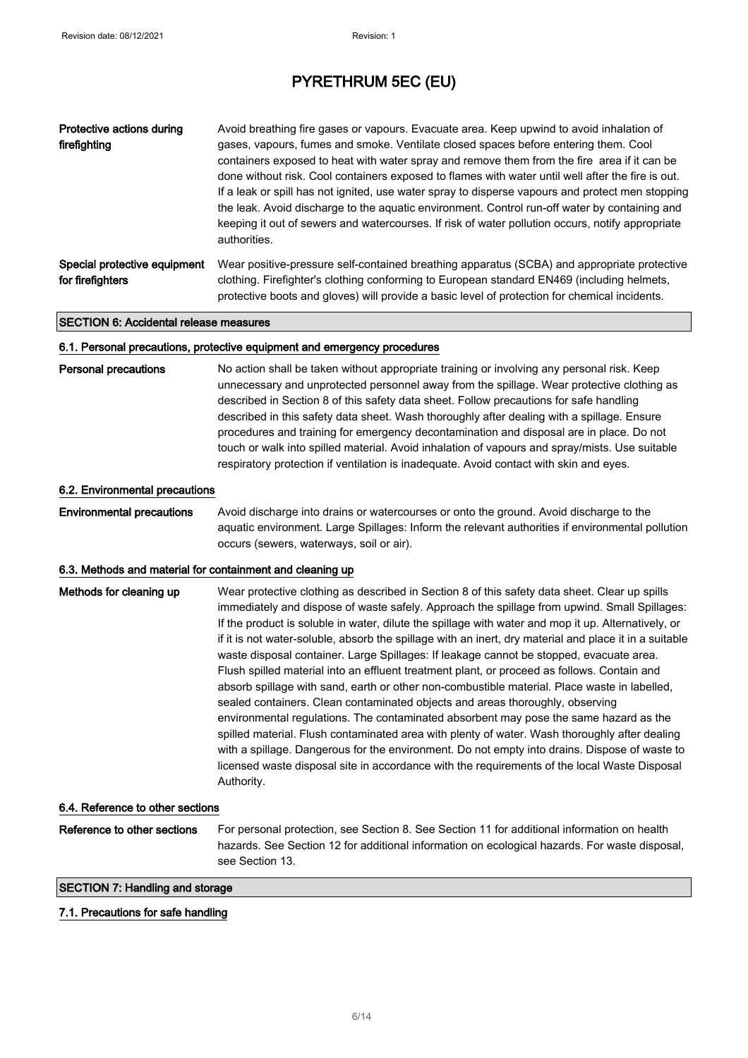| Protective actions during<br>firefighting        | Avoid breathing fire gases or vapours. Evacuate area. Keep upwind to avoid inhalation of<br>gases, vapours, fumes and smoke. Ventilate closed spaces before entering them. Cool<br>containers exposed to heat with water spray and remove them from the fire area if it can be<br>done without risk. Cool containers exposed to flames with water until well after the fire is out.<br>If a leak or spill has not ignited, use water spray to disperse vapours and protect men stopping<br>the leak. Avoid discharge to the aquatic environment. Control run-off water by containing and<br>keeping it out of sewers and watercourses. If risk of water pollution occurs, notify appropriate<br>authorities. |
|--------------------------------------------------|--------------------------------------------------------------------------------------------------------------------------------------------------------------------------------------------------------------------------------------------------------------------------------------------------------------------------------------------------------------------------------------------------------------------------------------------------------------------------------------------------------------------------------------------------------------------------------------------------------------------------------------------------------------------------------------------------------------|
| Special protective equipment<br>for firefighters | Wear positive-pressure self-contained breathing apparatus (SCBA) and appropriate protective<br>clothing. Firefighter's clothing conforming to European standard EN469 (including helmets,<br>protective boots and gloves) will provide a basic level of protection for chemical incidents.                                                                                                                                                                                                                                                                                                                                                                                                                   |

#### SECTION 6: Accidental release measures

#### 6.1. Personal precautions, protective equipment and emergency procedures

Personal precautions No action shall be taken without appropriate training or involving any personal risk. Keep unnecessary and unprotected personnel away from the spillage. Wear protective clothing as described in Section 8 of this safety data sheet. Follow precautions for safe handling described in this safety data sheet. Wash thoroughly after dealing with a spillage. Ensure procedures and training for emergency decontamination and disposal are in place. Do not touch or walk into spilled material. Avoid inhalation of vapours and spray/mists. Use suitable respiratory protection if ventilation is inadequate. Avoid contact with skin and eyes.

#### 6.2. Environmental precautions

Environmental precautions Avoid discharge into drains or watercourses or onto the ground. Avoid discharge to the aquatic environment. Large Spillages: Inform the relevant authorities if environmental pollution occurs (sewers, waterways, soil or air).

#### 6.3. Methods and material for containment and cleaning up

| Methods for cleaning up          | Wear protective clothing as described in Section 8 of this safety data sheet. Clear up spills<br>immediately and dispose of waste safely. Approach the spillage from upwind. Small Spillages:<br>If the product is soluble in water, dilute the spillage with water and mop it up. Alternatively, or<br>if it is not water-soluble, absorb the spillage with an inert, dry material and place it in a suitable<br>waste disposal container. Large Spillages: If leakage cannot be stopped, evacuate area.<br>Flush spilled material into an effluent treatment plant, or proceed as follows. Contain and<br>absorb spillage with sand, earth or other non-combustible material. Place waste in labelled,<br>sealed containers. Clean contaminated objects and areas thoroughly, observing<br>environmental regulations. The contaminated absorbent may pose the same hazard as the<br>spilled material. Flush contaminated area with plenty of water. Wash thoroughly after dealing<br>with a spillage. Dangerous for the environment. Do not empty into drains. Dispose of waste to<br>licensed waste disposal site in accordance with the requirements of the local Waste Disposal<br>Authority. |
|----------------------------------|----------------------------------------------------------------------------------------------------------------------------------------------------------------------------------------------------------------------------------------------------------------------------------------------------------------------------------------------------------------------------------------------------------------------------------------------------------------------------------------------------------------------------------------------------------------------------------------------------------------------------------------------------------------------------------------------------------------------------------------------------------------------------------------------------------------------------------------------------------------------------------------------------------------------------------------------------------------------------------------------------------------------------------------------------------------------------------------------------------------------------------------------------------------------------------------------------|
| 6.4. Reference to other sections |                                                                                                                                                                                                                                                                                                                                                                                                                                                                                                                                                                                                                                                                                                                                                                                                                                                                                                                                                                                                                                                                                                                                                                                                    |
| Reference to other sections      | For personal protection, see Section 8. See Section 11 for additional information on health<br>hazards. See Section 12 for additional information on ecological hazards. For waste disposal,                                                                                                                                                                                                                                                                                                                                                                                                                                                                                                                                                                                                                                                                                                                                                                                                                                                                                                                                                                                                       |

see Section 13.

### SECTION 7: Handling and storage

### 7.1. Precautions for safe handling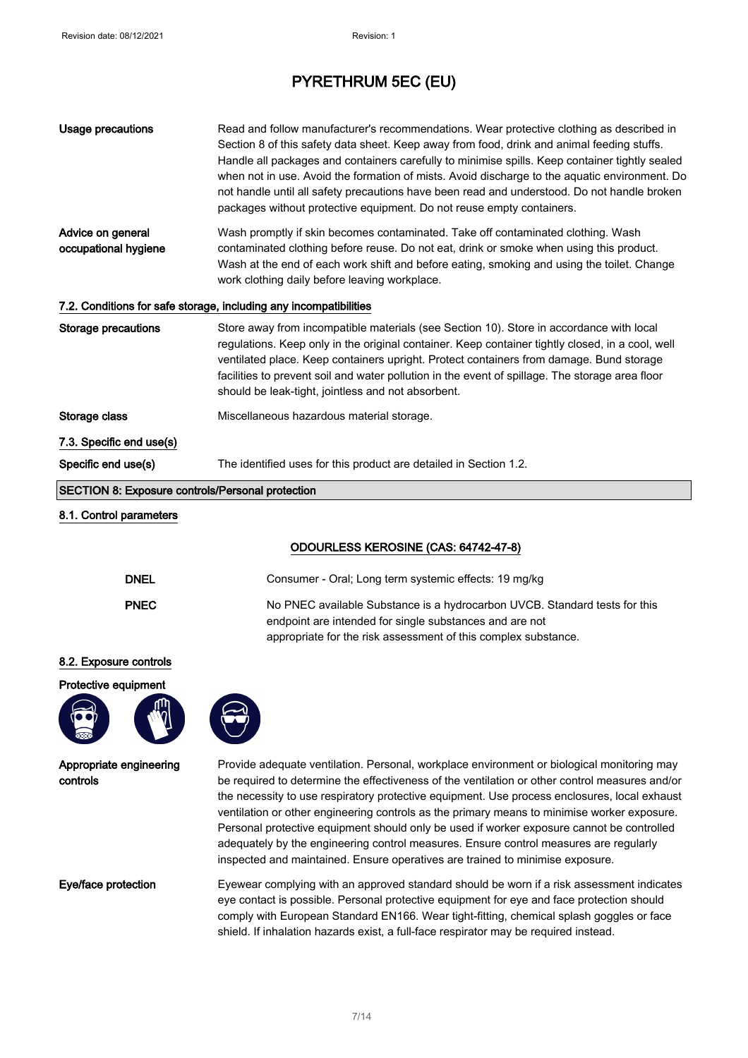| <b>Usage precautions</b>                                | Read and follow manufacturer's recommendations. Wear protective clothing as described in<br>Section 8 of this safety data sheet. Keep away from food, drink and animal feeding stuffs.<br>Handle all packages and containers carefully to minimise spills. Keep container tightly sealed<br>when not in use. Avoid the formation of mists. Avoid discharge to the aquatic environment. Do<br>not handle until all safety precautions have been read and understood. Do not handle broken<br>packages without protective equipment. Do not reuse empty containers.                                                                                                  |
|---------------------------------------------------------|--------------------------------------------------------------------------------------------------------------------------------------------------------------------------------------------------------------------------------------------------------------------------------------------------------------------------------------------------------------------------------------------------------------------------------------------------------------------------------------------------------------------------------------------------------------------------------------------------------------------------------------------------------------------|
| Advice on general<br>occupational hygiene               | Wash promptly if skin becomes contaminated. Take off contaminated clothing. Wash<br>contaminated clothing before reuse. Do not eat, drink or smoke when using this product.<br>Wash at the end of each work shift and before eating, smoking and using the toilet. Change<br>work clothing daily before leaving workplace.                                                                                                                                                                                                                                                                                                                                         |
|                                                         | 7.2. Conditions for safe storage, including any incompatibilities                                                                                                                                                                                                                                                                                                                                                                                                                                                                                                                                                                                                  |
| <b>Storage precautions</b>                              | Store away from incompatible materials (see Section 10). Store in accordance with local<br>regulations. Keep only in the original container. Keep container tightly closed, in a cool, well<br>ventilated place. Keep containers upright. Protect containers from damage. Bund storage<br>facilities to prevent soil and water pollution in the event of spillage. The storage area floor<br>should be leak-tight, jointless and not absorbent.                                                                                                                                                                                                                    |
| Storage class                                           | Miscellaneous hazardous material storage.                                                                                                                                                                                                                                                                                                                                                                                                                                                                                                                                                                                                                          |
| 7.3. Specific end use(s)                                |                                                                                                                                                                                                                                                                                                                                                                                                                                                                                                                                                                                                                                                                    |
| Specific end use(s)                                     | The identified uses for this product are detailed in Section 1.2.                                                                                                                                                                                                                                                                                                                                                                                                                                                                                                                                                                                                  |
| <b>SECTION 8: Exposure controls/Personal protection</b> |                                                                                                                                                                                                                                                                                                                                                                                                                                                                                                                                                                                                                                                                    |
| 8.1. Control parameters                                 |                                                                                                                                                                                                                                                                                                                                                                                                                                                                                                                                                                                                                                                                    |
|                                                         | ODOURLESS KEROSINE (CAS: 64742-47-8)                                                                                                                                                                                                                                                                                                                                                                                                                                                                                                                                                                                                                               |
| <b>DNEL</b>                                             | Consumer - Oral; Long term systemic effects: 19 mg/kg                                                                                                                                                                                                                                                                                                                                                                                                                                                                                                                                                                                                              |
| <b>PNEC</b>                                             | No PNEC available Substance is a hydrocarbon UVCB. Standard tests for this<br>endpoint are intended for single substances and are not<br>appropriate for the risk assessment of this complex substance.                                                                                                                                                                                                                                                                                                                                                                                                                                                            |
| 8.2. Exposure controls                                  |                                                                                                                                                                                                                                                                                                                                                                                                                                                                                                                                                                                                                                                                    |
| Protective equipment                                    |                                                                                                                                                                                                                                                                                                                                                                                                                                                                                                                                                                                                                                                                    |
| Appropriate engineering<br>controls                     | Provide adequate ventilation. Personal, workplace environment or biological monitoring may<br>be required to determine the effectiveness of the ventilation or other control measures and/or<br>the necessity to use respiratory protective equipment. Use process enclosures, local exhaust<br>ventilation or other engineering controls as the primary means to minimise worker exposure.<br>Personal protective equipment should only be used if worker exposure cannot be controlled<br>adequately by the engineering control measures. Ensure control measures are regularly<br>inspected and maintained. Ensure operatives are trained to minimise exposure. |
| Eye/face protection                                     | Eyewear complying with an approved standard should be worn if a risk assessment indicates<br>eye contact is possible. Personal protective equipment for eye and face protection should<br>comply with European Standard EN166. Wear tight-fitting, chemical splash goggles or face<br>shield. If inhalation hazards exist, a full-face respirator may be required instead.                                                                                                                                                                                                                                                                                         |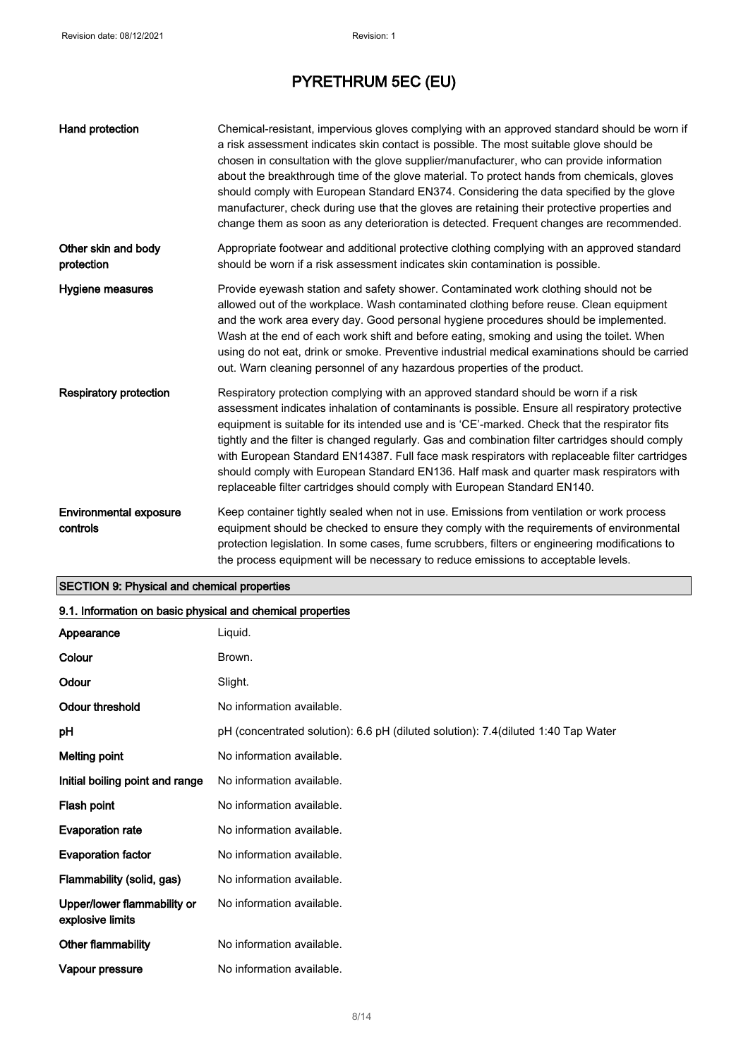| Hand protection                           | Chemical-resistant, impervious gloves complying with an approved standard should be worn if<br>a risk assessment indicates skin contact is possible. The most suitable glove should be<br>chosen in consultation with the glove supplier/manufacturer, who can provide information<br>about the breakthrough time of the glove material. To protect hands from chemicals, gloves<br>should comply with European Standard EN374. Considering the data specified by the glove<br>manufacturer, check during use that the gloves are retaining their protective properties and<br>change them as soon as any deterioration is detected. Frequent changes are recommended. |
|-------------------------------------------|------------------------------------------------------------------------------------------------------------------------------------------------------------------------------------------------------------------------------------------------------------------------------------------------------------------------------------------------------------------------------------------------------------------------------------------------------------------------------------------------------------------------------------------------------------------------------------------------------------------------------------------------------------------------|
| Other skin and body<br>protection         | Appropriate footwear and additional protective clothing complying with an approved standard<br>should be worn if a risk assessment indicates skin contamination is possible.                                                                                                                                                                                                                                                                                                                                                                                                                                                                                           |
| Hygiene measures                          | Provide eyewash station and safety shower. Contaminated work clothing should not be<br>allowed out of the workplace. Wash contaminated clothing before reuse. Clean equipment<br>and the work area every day. Good personal hygiene procedures should be implemented.<br>Wash at the end of each work shift and before eating, smoking and using the toilet. When<br>using do not eat, drink or smoke. Preventive industrial medical examinations should be carried<br>out. Warn cleaning personnel of any hazardous properties of the product.                                                                                                                        |
| <b>Respiratory protection</b>             | Respiratory protection complying with an approved standard should be worn if a risk<br>assessment indicates inhalation of contaminants is possible. Ensure all respiratory protective<br>equipment is suitable for its intended use and is 'CE'-marked. Check that the respirator fits<br>tightly and the filter is changed regularly. Gas and combination filter cartridges should comply<br>with European Standard EN14387. Full face mask respirators with replaceable filter cartridges<br>should comply with European Standard EN136. Half mask and quarter mask respirators with<br>replaceable filter cartridges should comply with European Standard EN140.    |
| <b>Environmental exposure</b><br>controls | Keep container tightly sealed when not in use. Emissions from ventilation or work process<br>equipment should be checked to ensure they comply with the requirements of environmental<br>protection legislation. In some cases, fume scrubbers, filters or engineering modifications to<br>the process equipment will be necessary to reduce emissions to acceptable levels.                                                                                                                                                                                                                                                                                           |

# SECTION 9: Physical and chemical properties

| 9.1. Information on basic physical and chemical properties |                                                                                    |
|------------------------------------------------------------|------------------------------------------------------------------------------------|
| Appearance                                                 | Liquid.                                                                            |
| Colour                                                     | Brown.                                                                             |
| Odour                                                      | Slight.                                                                            |
| Odour threshold                                            | No information available.                                                          |
| рH                                                         | pH (concentrated solution): 6.6 pH (diluted solution): 7.4 (diluted 1:40 Tap Water |
| <b>Melting point</b>                                       | No information available.                                                          |
| Initial boiling point and range                            | No information available.                                                          |
| Flash point                                                | No information available.                                                          |
| <b>Evaporation rate</b>                                    | No information available.                                                          |
| <b>Evaporation factor</b>                                  | No information available.                                                          |
| Flammability (solid, gas)                                  | No information available.                                                          |
| Upper/lower flammability or<br>explosive limits            | No information available.                                                          |
| Other flammability                                         | No information available.                                                          |
| Vapour pressure                                            | No information available.                                                          |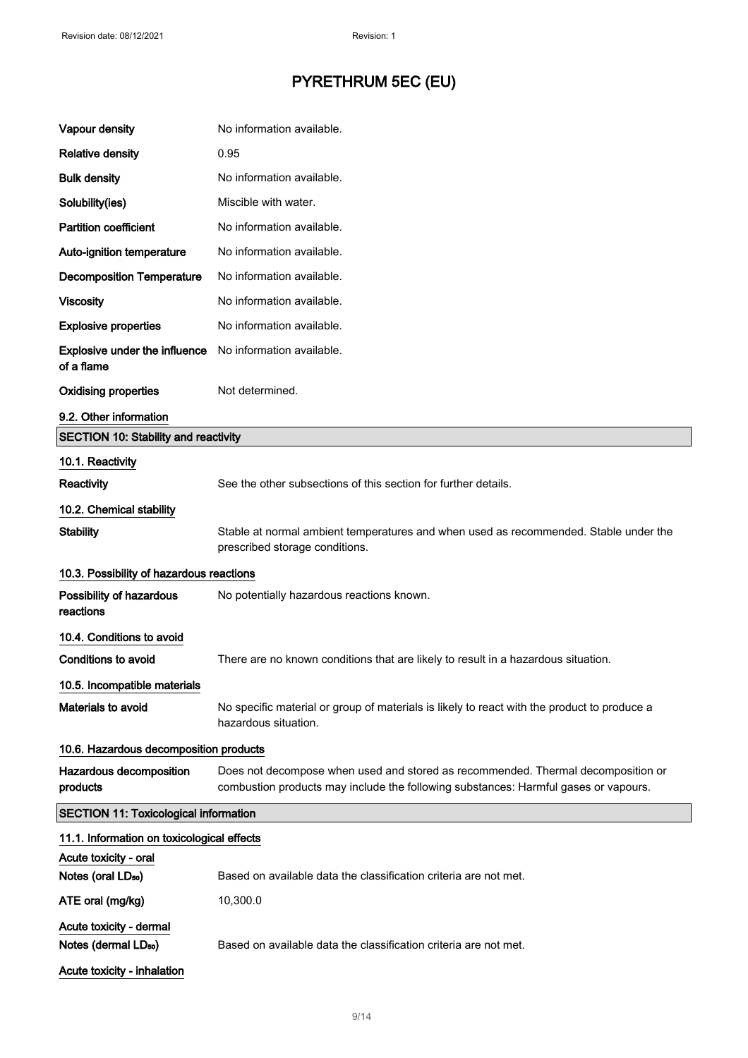| Vapour density                                              | No information available.                                                                                                                                               |
|-------------------------------------------------------------|-------------------------------------------------------------------------------------------------------------------------------------------------------------------------|
| <b>Relative density</b>                                     | 0.95                                                                                                                                                                    |
| <b>Bulk density</b>                                         | No information available.                                                                                                                                               |
| Solubility(ies)                                             | Miscible with water.                                                                                                                                                    |
| <b>Partition coefficient</b>                                | No information available.                                                                                                                                               |
| Auto-ignition temperature                                   | No information available.                                                                                                                                               |
| <b>Decomposition Temperature</b>                            | No information available.                                                                                                                                               |
| <b>Viscosity</b>                                            | No information available.                                                                                                                                               |
| <b>Explosive properties</b>                                 | No information available.                                                                                                                                               |
| Explosive under the influence<br>of a flame                 | No information available.                                                                                                                                               |
| <b>Oxidising properties</b>                                 | Not determined.                                                                                                                                                         |
| 9.2. Other information                                      |                                                                                                                                                                         |
| <b>SECTION 10: Stability and reactivity</b>                 |                                                                                                                                                                         |
| 10.1. Reactivity                                            |                                                                                                                                                                         |
| Reactivity                                                  | See the other subsections of this section for further details.                                                                                                          |
| 10.2. Chemical stability                                    |                                                                                                                                                                         |
| <b>Stability</b>                                            | Stable at normal ambient temperatures and when used as recommended. Stable under the<br>prescribed storage conditions.                                                  |
| 10.3. Possibility of hazardous reactions                    |                                                                                                                                                                         |
| Possibility of hazardous<br>reactions                       | No potentially hazardous reactions known.                                                                                                                               |
| 10.4. Conditions to avoid                                   |                                                                                                                                                                         |
| <b>Conditions to avoid</b>                                  | There are no known conditions that are likely to result in a hazardous situation.                                                                                       |
| 10.5. Incompatible materials                                |                                                                                                                                                                         |
| <b>Materials to avoid</b>                                   | No specific material or group of materials is likely to react with the product to produce a<br>hazardous situation.                                                     |
| 10.6. Hazardous decomposition products                      |                                                                                                                                                                         |
| Hazardous decomposition<br>products                         | Does not decompose when used and stored as recommended. Thermal decomposition or<br>combustion products may include the following substances: Harmful gases or vapours. |
| <b>SECTION 11: Toxicological information</b>                |                                                                                                                                                                         |
| 11.1. Information on toxicological effects                  |                                                                                                                                                                         |
| Acute toxicity - oral                                       | Based on available data the classification criteria are not met.                                                                                                        |
| Notes (oral LD <sub>50</sub> )                              |                                                                                                                                                                         |
| ATE oral (mg/kg)                                            | 10,300.0                                                                                                                                                                |
| Acute toxicity - dermal<br>Notes (dermal LD <sub>50</sub> ) | Based on available data the classification criteria are not met.                                                                                                        |
| Acute toxicity - inhalation                                 |                                                                                                                                                                         |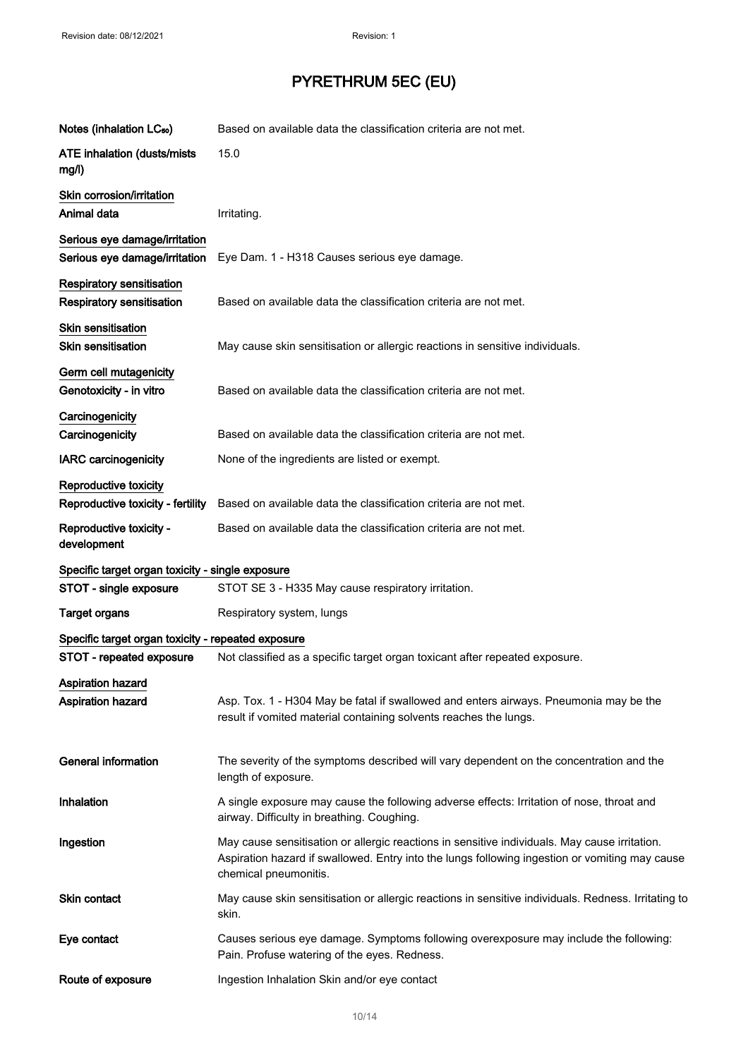| Notes (inhalation LC <sub>50</sub> )                                 | Based on available data the classification criteria are not met.                                                                                                                                                         |
|----------------------------------------------------------------------|--------------------------------------------------------------------------------------------------------------------------------------------------------------------------------------------------------------------------|
| <b>ATE inhalation (dusts/mists)</b><br>mg/l)                         | 15.0                                                                                                                                                                                                                     |
| Skin corrosion/irritation<br>Animal data                             | Irritating.                                                                                                                                                                                                              |
| Serious eye damage/irritation<br>Serious eye damage/irritation       | Eye Dam. 1 - H318 Causes serious eye damage.                                                                                                                                                                             |
| <b>Respiratory sensitisation</b><br><b>Respiratory sensitisation</b> | Based on available data the classification criteria are not met.                                                                                                                                                         |
| <b>Skin sensitisation</b><br>Skin sensitisation                      | May cause skin sensitisation or allergic reactions in sensitive individuals.                                                                                                                                             |
| Germ cell mutagenicity<br>Genotoxicity - in vitro                    | Based on available data the classification criteria are not met.                                                                                                                                                         |
| Carcinogenicity<br>Carcinogenicity                                   | Based on available data the classification criteria are not met.                                                                                                                                                         |
| <b>IARC</b> carcinogenicity                                          | None of the ingredients are listed or exempt.                                                                                                                                                                            |
| <b>Reproductive toxicity</b><br>Reproductive toxicity - fertility    | Based on available data the classification criteria are not met.                                                                                                                                                         |
| Reproductive toxicity -<br>development                               | Based on available data the classification criteria are not met.                                                                                                                                                         |
| Specific target organ toxicity - single exposure                     |                                                                                                                                                                                                                          |
| STOT - single exposure                                               | STOT SE 3 - H335 May cause respiratory irritation.                                                                                                                                                                       |
| <b>Target organs</b>                                                 | Respiratory system, lungs                                                                                                                                                                                                |
| Specific target organ toxicity - repeated exposure                   |                                                                                                                                                                                                                          |
| STOT - repeated exposure                                             | Not classified as a specific target organ toxicant after repeated exposure.                                                                                                                                              |
| <b>Aspiration hazard</b><br>Aspiration hazard                        | Asp. Tox. 1 - H304 May be fatal if swallowed and enters airways. Pneumonia may be the<br>result if vomited material containing solvents reaches the lungs.                                                               |
| <b>General information</b>                                           | The severity of the symptoms described will vary dependent on the concentration and the<br>length of exposure.                                                                                                           |
| Inhalation                                                           | A single exposure may cause the following adverse effects: Irritation of nose, throat and<br>airway. Difficulty in breathing. Coughing.                                                                                  |
| Ingestion                                                            | May cause sensitisation or allergic reactions in sensitive individuals. May cause irritation.<br>Aspiration hazard if swallowed. Entry into the lungs following ingestion or vomiting may cause<br>chemical pneumonitis. |
| <b>Skin contact</b>                                                  | May cause skin sensitisation or allergic reactions in sensitive individuals. Redness. Irritating to<br>skin.                                                                                                             |
| Eye contact                                                          | Causes serious eye damage. Symptoms following overexposure may include the following:<br>Pain. Profuse watering of the eyes. Redness.                                                                                    |
| Route of exposure                                                    | Ingestion Inhalation Skin and/or eye contact                                                                                                                                                                             |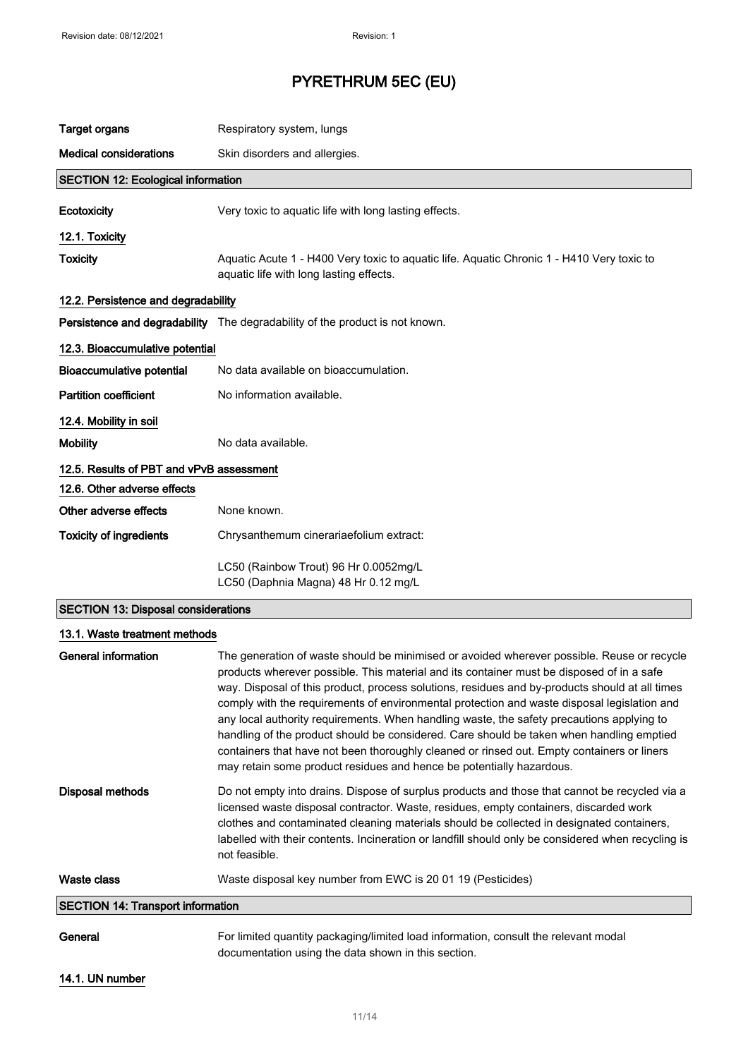| <b>Target organs</b>                      | Respiratory system, lungs                                                                                                            |
|-------------------------------------------|--------------------------------------------------------------------------------------------------------------------------------------|
| <b>Medical considerations</b>             | Skin disorders and allergies.                                                                                                        |
| <b>SECTION 12: Ecological information</b> |                                                                                                                                      |
| Ecotoxicity                               | Very toxic to aquatic life with long lasting effects.                                                                                |
| 12.1. Toxicity                            |                                                                                                                                      |
| <b>Toxicity</b>                           | Aquatic Acute 1 - H400 Very toxic to aquatic life. Aquatic Chronic 1 - H410 Very toxic to<br>aquatic life with long lasting effects. |
| 12.2. Persistence and degradability       |                                                                                                                                      |
|                                           | Persistence and degradability The degradability of the product is not known.                                                         |
| 12.3. Bioaccumulative potential           |                                                                                                                                      |
| <b>Bioaccumulative potential</b>          | No data available on bioaccumulation.                                                                                                |
| <b>Partition coefficient</b>              | No information available.                                                                                                            |
| 12.4. Mobility in soil                    |                                                                                                                                      |
| <b>Mobility</b>                           | No data available.                                                                                                                   |
| 12.5. Results of PBT and vPvB assessment  |                                                                                                                                      |
| 12.6. Other adverse effects               |                                                                                                                                      |
| Other adverse effects                     | None known.                                                                                                                          |
| <b>Toxicity of ingredients</b>            | Chrysanthemum cinerariaefolium extract:                                                                                              |
|                                           | LC50 (Rainbow Trout) 96 Hr 0.0052mg/L<br>LC50 (Daphnia Magna) 48 Hr 0.12 mg/L                                                        |

## SECTION 13: Disposal considerations

| 13.1. Waste treatment methods            |                                                                                                                                                                                                                                                                                                                                                                                                                                                                                                                                                                                                                                                                                                                                                         |
|------------------------------------------|---------------------------------------------------------------------------------------------------------------------------------------------------------------------------------------------------------------------------------------------------------------------------------------------------------------------------------------------------------------------------------------------------------------------------------------------------------------------------------------------------------------------------------------------------------------------------------------------------------------------------------------------------------------------------------------------------------------------------------------------------------|
| General information                      | The generation of waste should be minimised or avoided wherever possible. Reuse or recycle<br>products wherever possible. This material and its container must be disposed of in a safe<br>way. Disposal of this product, process solutions, residues and by-products should at all times<br>comply with the requirements of environmental protection and waste disposal legislation and<br>any local authority requirements. When handling waste, the safety precautions applying to<br>handling of the product should be considered. Care should be taken when handling emptied<br>containers that have not been thoroughly cleaned or rinsed out. Empty containers or liners<br>may retain some product residues and hence be potentially hazardous. |
| Disposal methods                         | Do not empty into drains. Dispose of surplus products and those that cannot be recycled via a<br>licensed waste disposal contractor. Waste, residues, empty containers, discarded work<br>clothes and contaminated cleaning materials should be collected in designated containers,<br>labelled with their contents. Incineration or landfill should only be considered when recycling is<br>not feasible.                                                                                                                                                                                                                                                                                                                                              |
| Waste class                              | Waste disposal key number from EWC is 20 01 19 (Pesticides)                                                                                                                                                                                                                                                                                                                                                                                                                                                                                                                                                                                                                                                                                             |
| <b>SECTION 14: Transport information</b> |                                                                                                                                                                                                                                                                                                                                                                                                                                                                                                                                                                                                                                                                                                                                                         |
| General                                  | For limited quantity packaging/limited load information, consult the relevant modal<br>documentation using the data shown in this section.                                                                                                                                                                                                                                                                                                                                                                                                                                                                                                                                                                                                              |

### 14.1. UN number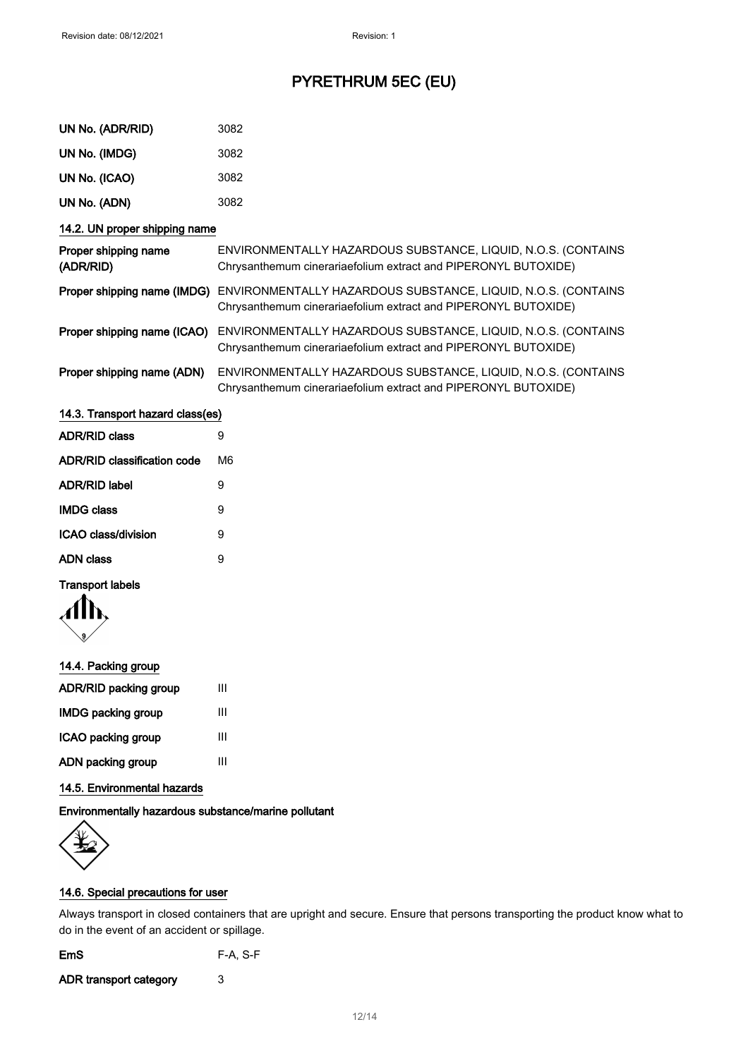| UN No. (ADR/RID)                  | 3082                                                                                                                            |
|-----------------------------------|---------------------------------------------------------------------------------------------------------------------------------|
| UN No. (IMDG)                     | 3082                                                                                                                            |
| UN No. (ICAO)                     | 3082                                                                                                                            |
| UN No. (ADN)                      | 3082                                                                                                                            |
| 14.2. UN proper shipping name     |                                                                                                                                 |
| Proper shipping name<br>(ADR/RID) | ENVIRONMENTALLY HAZARDOUS SUBSTANCE, LIQUID, N.O.S. (CONTAINS<br>Chrysanthemum cinerariaefolium extract and PIPERONYL BUTOXIDE) |
| Proper shipping name (IMDG)       | ENVIRONMENTALLY HAZARDOUS SUBSTANCE, LIQUID, N.O.S. (CONTAINS<br>Chrysanthemum cinerariaefolium extract and PIPERONYL BUTOXIDE) |
| Proper shipping name (ICAO)       | ENVIRONMENTALLY HAZARDOUS SUBSTANCE, LIQUID, N.O.S. (CONTAINS<br>Chrysanthemum cinerariaefolium extract and PIPERONYL BUTOXIDE) |
| Proper shipping name (ADN)        | ENVIRONMENTALLY HAZARDOUS SUBSTANCE, LIQUID, N.O.S. (CONTAINS<br>Chrysanthemum cinerariaefolium extract and PIPERONYL BUTOXIDE) |

| 14.3. Transport hazard class(es) |    |
|----------------------------------|----|
| <b>ADR/RID class</b>             | 9  |
| ADR/RID classification code      | M6 |
| <b>ADR/RID label</b>             | 9  |
| <b>IMDG class</b>                | 9  |
| ICAO class/division              | 9  |
| ADN class                        | 9  |
|                                  |    |

### Transport labels

$$
\langle \prod_{\mathfrak{g}}
$$

### 14.4. Packing group

| ADR/RID packing group     | Ш |
|---------------------------|---|
| <b>IMDG packing group</b> | Ш |
| ICAO packing group        | Ш |
| ADN packing group         | Ш |
|                           |   |

## 14.5. Environmental hazards

## Environmentally hazardous substance/marine pollutant



### 14.6. Special precautions for user

Always transport in closed containers that are upright and secure. Ensure that persons transporting the product know what to do in the event of an accident or spillage.

| F-A, S-F |
|----------|
|          |

ADR transport category 3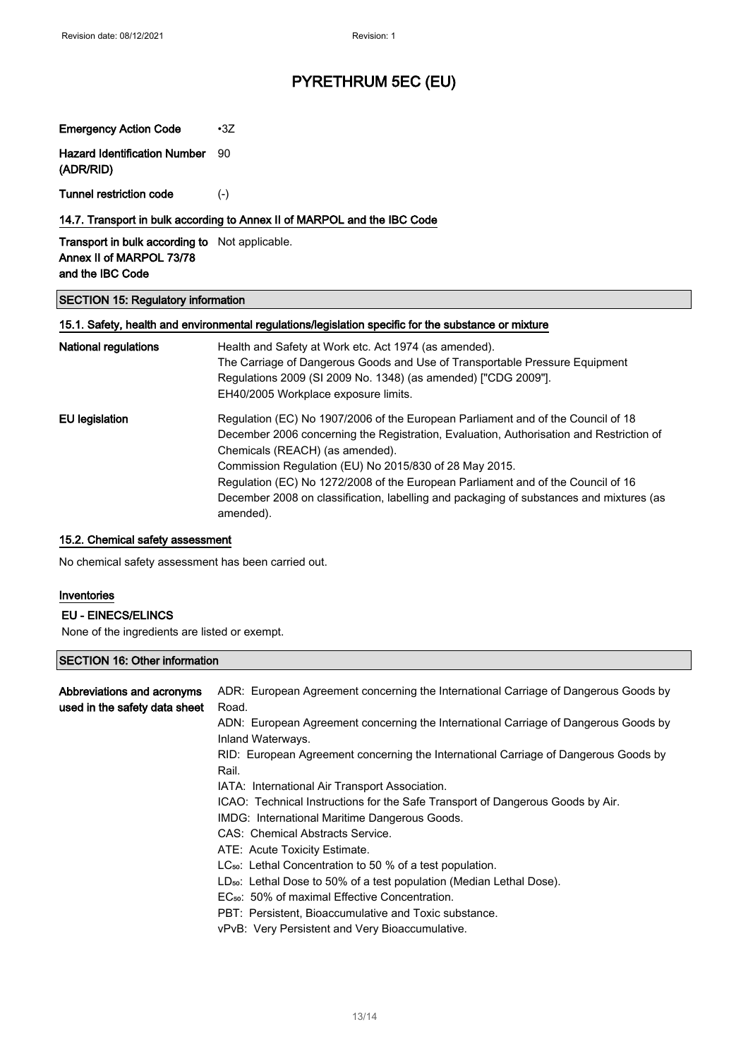Emergency Action Code •3Z Hazard Identification Number (ADR/RID) 90

Tunnel restriction code (-)

### 14.7. Transport in bulk according to Annex II of MARPOL and the IBC Code

Transport in bulk according to Not applicable. Annex II of MARPOL 73/78 and the IBC Code

#### SECTION 15: Regulatory information

### 15.1. Safety, health and environmental regulations/legislation specific for the substance or mixture

| <b>National regulations</b> | Health and Safety at Work etc. Act 1974 (as amended).                                                |
|-----------------------------|------------------------------------------------------------------------------------------------------|
|                             | The Carriage of Dangerous Goods and Use of Transportable Pressure Equipment                          |
|                             | Regulations 2009 (SI 2009 No. 1348) (as amended) ["CDG 2009"].                                       |
|                             | EH40/2005 Workplace exposure limits.                                                                 |
| <b>EU</b> legislation       | Regulation (EC) No 1907/2006 of the European Parliament and of the Council of 18                     |
|                             | December 2006 concerning the Registration, Evaluation, Authorisation and Restriction of              |
|                             | Chemicals (REACH) (as amended).                                                                      |
|                             | Commission Regulation (EU) No 2015/830 of 28 May 2015.                                               |
|                             | Regulation (EC) No 1272/2008 of the European Parliament and of the Council of 16                     |
|                             | December 2008 on classification, labelling and packaging of substances and mixtures (as<br>amended). |

#### 15.2. Chemical safety assessment

No chemical safety assessment has been carried out.

#### Inventories

### EU - EINECS/ELINCS

None of the ingredients are listed or exempt.

### SECTION 16: Other information

| Abbreviations and acronyms<br>used in the safety data sheet | ADR: European Agreement concerning the International Carriage of Dangerous Goods by<br>Road.             |
|-------------------------------------------------------------|----------------------------------------------------------------------------------------------------------|
|                                                             | ADN: European Agreement concerning the International Carriage of Dangerous Goods by<br>Inland Waterways. |
|                                                             | RID: European Agreement concerning the International Carriage of Dangerous Goods by<br>Rail.             |
|                                                             | IATA: International Air Transport Association.                                                           |
|                                                             | ICAO: Technical Instructions for the Safe Transport of Dangerous Goods by Air.                           |
|                                                             | IMDG: International Maritime Dangerous Goods.                                                            |
|                                                             | CAS: Chemical Abstracts Service.                                                                         |
|                                                             | ATE: Acute Toxicity Estimate.                                                                            |
|                                                             | $LC_{50}$ : Lethal Concentration to 50 % of a test population.                                           |
|                                                             | $LD_{50}$ : Lethal Dose to 50% of a test population (Median Lethal Dose).                                |
|                                                             | EC <sub>50</sub> : 50% of maximal Effective Concentration.                                               |
|                                                             | PBT: Persistent, Bioaccumulative and Toxic substance.                                                    |
|                                                             | vPvB: Very Persistent and Very Bioaccumulative.                                                          |